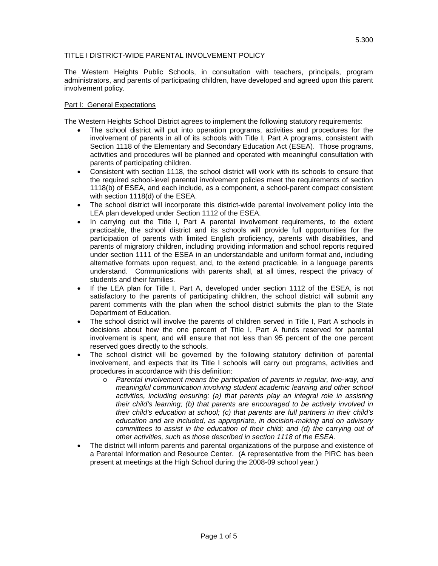## TITLE I DISTRICT-WIDE PARENTAL INVOLVEMENT POLICY

The Western Heights Public Schools, in consultation with teachers, principals, program administrators, and parents of participating children, have developed and agreed upon this parent involvement policy.

## Part I: General Expectations

The Western Heights School District agrees to implement the following statutory requirements:

- The school district will put into operation programs, activities and procedures for the involvement of parents in all of its schools with Title I, Part A programs, consistent with Section 1118 of the Elementary and Secondary Education Act (ESEA). Those programs, activities and procedures will be planned and operated with meaningful consultation with parents of participating children.
- Consistent with section 1118, the school district will work with its schools to ensure that the required school-level parental involvement policies meet the requirements of section 1118(b) of ESEA, and each include, as a component, a school-parent compact consistent with section 1118(d) of the ESEA.
- The school district will incorporate this district-wide parental involvement policy into the LEA plan developed under Section 1112 of the ESEA.
- In carrying out the Title I, Part A parental involvement requirements, to the extent practicable, the school district and its schools will provide full opportunities for the participation of parents with limited English proficiency, parents with disabilities, and parents of migratory children, including providing information and school reports required under section 1111 of the ESEA in an understandable and uniform format and, including alternative formats upon request, and, to the extend practicable, in a language parents understand. Communications with parents shall, at all times, respect the privacy of students and their families.
- If the LEA plan for Title I, Part A, developed under section 1112 of the ESEA, is not satisfactory to the parents of participating children, the school district will submit any parent comments with the plan when the school district submits the plan to the State Department of Education.
- The school district will involve the parents of children served in Title I, Part A schools in decisions about how the one percent of Title I, Part A funds reserved for parental involvement is spent, and will ensure that not less than 95 percent of the one percent reserved goes directly to the schools.
- The school district will be governed by the following statutory definition of parental involvement, and expects that its Title I schools will carry out programs, activities and procedures in accordance with this definition:
	- o *Parental involvement means the participation of parents in regular, two-way, and meaningful communication involving student academic learning and other school activities, including ensuring: (a) that parents play an integral role in assisting their child's learning; (b) that parents are encouraged to be actively involved in their child's education at school; (c) that parents are full partners in their child's education and are included, as appropriate, in decision-making and on advisory committees to assist in the education of their child; and (d) the carrying out of other activities, such as those described in section 1118 of the ESEA.*
- The district will inform parents and parental organizations of the purpose and existence of a Parental Information and Resource Center. (A representative from the PIRC has been present at meetings at the High School during the 2008-09 school year.)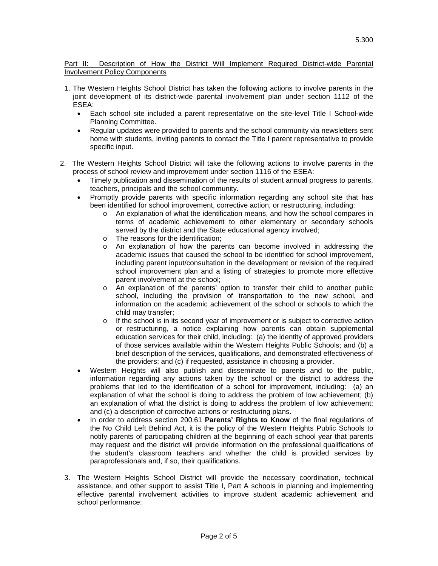## Part II: Description of How the District Will Implement Required District-wide Parental Involvement Policy Components

- 1. The Western Heights School District has taken the following actions to involve parents in the joint development of its district-wide parental involvement plan under section 1112 of the ESEA:
	- Each school site included a parent representative on the site-level Title I School-wide Planning Committee.
	- Regular updates were provided to parents and the school community via newsletters sent home with students, inviting parents to contact the Title I parent representative to provide specific input.
- 2. The Western Heights School District will take the following actions to involve parents in the process of school review and improvement under section 1116 of the ESEA:
	- Timely publication and dissemination of the results of student annual progress to parents, teachers, principals and the school community.
	- Promptly provide parents with specific information regarding any school site that has been identified for school improvement, corrective action, or restructuring, including:
		- o An explanation of what the identification means, and how the school compares in terms of academic achievement to other elementary or secondary schools served by the district and the State educational agency involved;
		- o The reasons for the identification;
		- o An explanation of how the parents can become involved in addressing the academic issues that caused the school to be identified for school improvement, including parent input/consultation in the development or revision of the required school improvement plan and a listing of strategies to promote more effective parent involvement at the school;
		- o An explanation of the parents' option to transfer their child to another public school, including the provision of transportation to the new school, and information on the academic achievement of the school or schools to which the child may transfer;
		- $\circ$  If the school is in its second year of improvement or is subject to corrective action or restructuring, a notice explaining how parents can obtain supplemental education services for their child, including: (a) the identity of approved providers of those services available within the Western Heights Public Schools; and (b) a brief description of the services, qualifications, and demonstrated effectiveness of the providers; and (c) if requested, assistance in choosing a provider.
	- Western Heights will also publish and disseminate to parents and to the public, information regarding any actions taken by the school or the district to address the problems that led to the identification of a school for improvement, including: (a) an explanation of what the school is doing to address the problem of low achievement; (b) an explanation of what the district is doing to address the problem of low achievement; and (c) a description of corrective actions or restructuring plans.
	- In order to address section 200.61 **Parents' Rights to Know** of the final regulations of the No Child Left Behind Act, it is the policy of the Western Heights Public Schools to notify parents of participating children at the beginning of each school year that parents may request and the district will provide information on the professional qualifications of the student's classroom teachers and whether the child is provided services by paraprofessionals and, if so, their qualifications.
	- 3. The Western Heights School District will provide the necessary coordination, technical assistance, and other support to assist Title I, Part A schools in planning and implementing effective parental involvement activities to improve student academic achievement and school performance: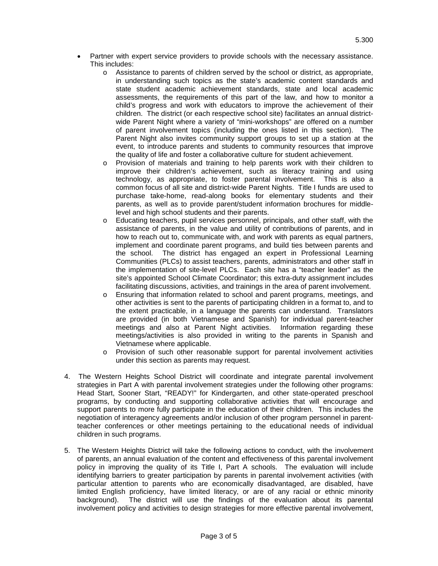- Partner with expert service providers to provide schools with the necessary assistance. This includes:
	- o Assistance to parents of children served by the school or district, as appropriate, in understanding such topics as the state's academic content standards and state student academic achievement standards, state and local academic assessments, the requirements of this part of the law, and how to monitor a child's progress and work with educators to improve the achievement of their children. The district (or each respective school site) facilitates an annual districtwide Parent Night where a variety of "mini-workshops" are offered on a number of parent involvement topics (including the ones listed in this section). The Parent Night also invites community support groups to set up a station at the event, to introduce parents and students to community resources that improve the quality of life and foster a collaborative culture for student achievement.
	- o Provision of materials and training to help parents work with their children to improve their children's achievement, such as literacy training and using technology, as appropriate, to foster parental involvement. This is also a common focus of all site and district-wide Parent Nights. Title I funds are used to purchase take-home, read-along books for elementary students and their parents, as well as to provide parent/student information brochures for middlelevel and high school students and their parents.
	- o Educating teachers, pupil services personnel, principals, and other staff, with the assistance of parents, in the value and utility of contributions of parents, and in how to reach out to, communicate with, and work with parents as equal partners, implement and coordinate parent programs, and build ties between parents and the school. The district has engaged an expert in Professional Learning Communities (PLCs) to assist teachers, parents, administrators and other staff in the implementation of site-level PLCs. Each site has a "teacher leader" as the site's appointed School Climate Coordinator; this extra-duty assignment includes facilitating discussions, activities, and trainings in the area of parent involvement.
	- o Ensuring that information related to school and parent programs, meetings, and other activities is sent to the parents of participating children in a format to, and to the extent practicable, in a language the parents can understand. Translators are provided (in both Vietnamese and Spanish) for individual parent-teacher meetings and also at Parent Night activities. Information regarding these meetings/activities is also provided in writing to the parents in Spanish and Vietnamese where applicable.
	- o Provision of such other reasonable support for parental involvement activities under this section as parents may request.
- 4. The Western Heights School District will coordinate and integrate parental involvement strategies in Part A with parental involvement strategies under the following other programs: Head Start, Sooner Start, "READY!" for Kindergarten, and other state-operated preschool programs, by conducting and supporting collaborative activities that will encourage and support parents to more fully participate in the education of their children. This includes the negotiation of interagency agreements and/or inclusion of other program personnel in parentteacher conferences or other meetings pertaining to the educational needs of individual children in such programs.
- 5. The Western Heights District will take the following actions to conduct, with the involvement of parents, an annual evaluation of the content and effectiveness of this parental involvement policy in improving the quality of its Title I, Part A schools. The evaluation will include identifying barriers to greater participation by parents in parental involvement activities (with particular attention to parents who are economically disadvantaged, are disabled, have limited English proficiency, have limited literacy, or are of any racial or ethnic minority background). The district will use the findings of the evaluation about its parental involvement policy and activities to design strategies for more effective parental involvement,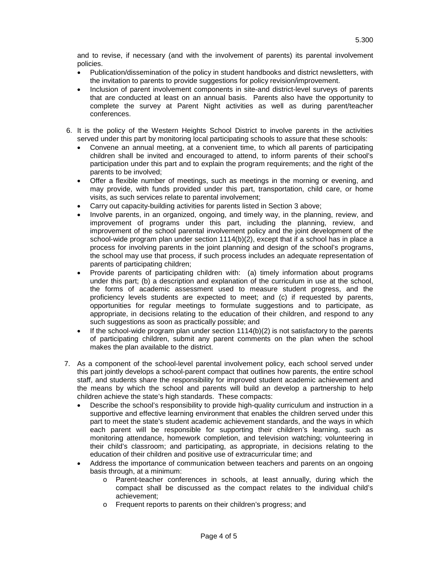and to revise, if necessary (and with the involvement of parents) its parental involvement policies.

- Publication/dissemination of the policy in student handbooks and district newsletters, with the invitation to parents to provide suggestions for policy revision/improvement.
- Inclusion of parent involvement components in site-and district-level surveys of parents that are conducted at least on an annual basis. Parents also have the opportunity to complete the survey at Parent Night activities as well as during parent/teacher conferences.
- 6. It is the policy of the Western Heights School District to involve parents in the activities served under this part by monitoring local participating schools to assure that these schools:
	- Convene an annual meeting, at a convenient time, to which all parents of participating children shall be invited and encouraged to attend, to inform parents of their school's participation under this part and to explain the program requirements; and the right of the parents to be involved;
	- Offer a flexible number of meetings, such as meetings in the morning or evening, and may provide, with funds provided under this part, transportation, child care, or home visits, as such services relate to parental involvement;
	- Carry out capacity-building activities for parents listed in Section 3 above;
	- Involve parents, in an organized, ongoing, and timely way, in the planning, review, and improvement of programs under this part, including the planning, review, and improvement of the school parental involvement policy and the joint development of the school-wide program plan under section  $1114(b)(2)$ , except that if a school has in place a process for involving parents in the joint planning and design of the school's programs, the school may use that process, if such process includes an adequate representation of parents of participating children;
	- Provide parents of participating children with: (a) timely information about programs under this part; (b) a description and explanation of the curriculum in use at the school, the forms of academic assessment used to measure student progress, and the proficiency levels students are expected to meet; and (c) if requested by parents, opportunities for regular meetings to formulate suggestions and to participate, as appropriate, in decisions relating to the education of their children, and respond to any such suggestions as soon as practically possible; and
	- If the school-wide program plan under section  $1114(b)(2)$  is not satisfactory to the parents of participating children, submit any parent comments on the plan when the school makes the plan available to the district.
- 7. As a component of the school-level parental involvement policy, each school served under this part jointly develops a school-parent compact that outlines how parents, the entire school staff, and students share the responsibility for improved student academic achievement and the means by which the school and parents will build an develop a partnership to help children achieve the state's high standards. These compacts:
	- Describe the school's responsibility to provide high-quality curriculum and instruction in a supportive and effective learning environment that enables the children served under this part to meet the state's student academic achievement standards, and the ways in which each parent will be responsible for supporting their children's learning, such as monitoring attendance, homework completion, and television watching; volunteering in their child's classroom; and participating, as appropriate, in decisions relating to the education of their children and positive use of extracurricular time; and
	- Address the importance of communication between teachers and parents on an ongoing basis through, at a minimum:
		- o Parent-teacher conferences in schools, at least annually, during which the compact shall be discussed as the compact relates to the individual child's achievement;
		- o Frequent reports to parents on their children's progress; and